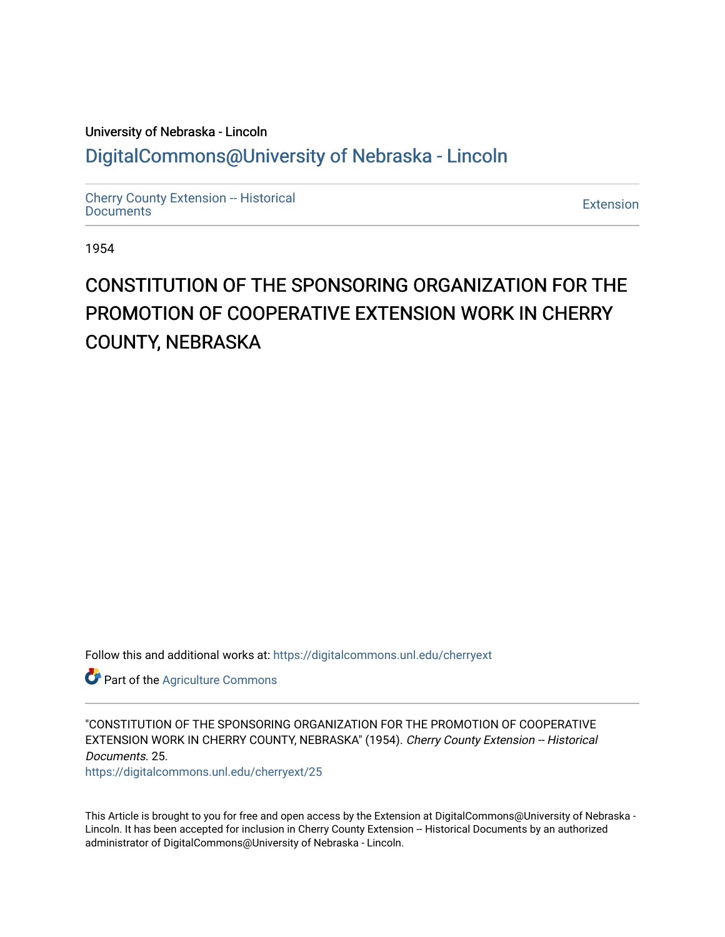# University of Nebraska - Lincoln [DigitalCommons@University of Nebraska - Lincoln](https://digitalcommons.unl.edu/)

[Cherry County Extension -- Historical](https://digitalcommons.unl.edu/cherryext)  [Documents](https://digitalcommons.unl.edu/cherryext) [Extension](https://digitalcommons.unl.edu/coop_extension) 

1954

# CONSTITUTION OF THE SPONSORING ORGANIZATION FOR THE PROMOTION OF COOPERATIVE EXTENSION WORK IN CHERRY COUNTY, NEBRASKA

Follow this and additional works at: [https://digitalcommons.unl.edu/cherryext](https://digitalcommons.unl.edu/cherryext?utm_source=digitalcommons.unl.edu%2Fcherryext%2F25&utm_medium=PDF&utm_campaign=PDFCoverPages) 

**Part of the [Agriculture Commons](http://network.bepress.com/hgg/discipline/1076?utm_source=digitalcommons.unl.edu%2Fcherryext%2F25&utm_medium=PDF&utm_campaign=PDFCoverPages)** 

"CONSTITUTION OF THE SPONSORING ORGANIZATION FOR THE PROMOTION OF COOPERATIVE EXTENSION WORK IN CHERRY COUNTY, NEBRASKA" (1954). Cherry County Extension -- Historical Documents. 25.

[https://digitalcommons.unl.edu/cherryext/25](https://digitalcommons.unl.edu/cherryext/25?utm_source=digitalcommons.unl.edu%2Fcherryext%2F25&utm_medium=PDF&utm_campaign=PDFCoverPages)

This Article is brought to you for free and open access by the Extension at DigitalCommons@University of Nebraska - Lincoln. It has been accepted for inclusion in Cherry County Extension -- Historical Documents by an authorized administrator of DigitalCommons@University of Nebraska - Lincoln.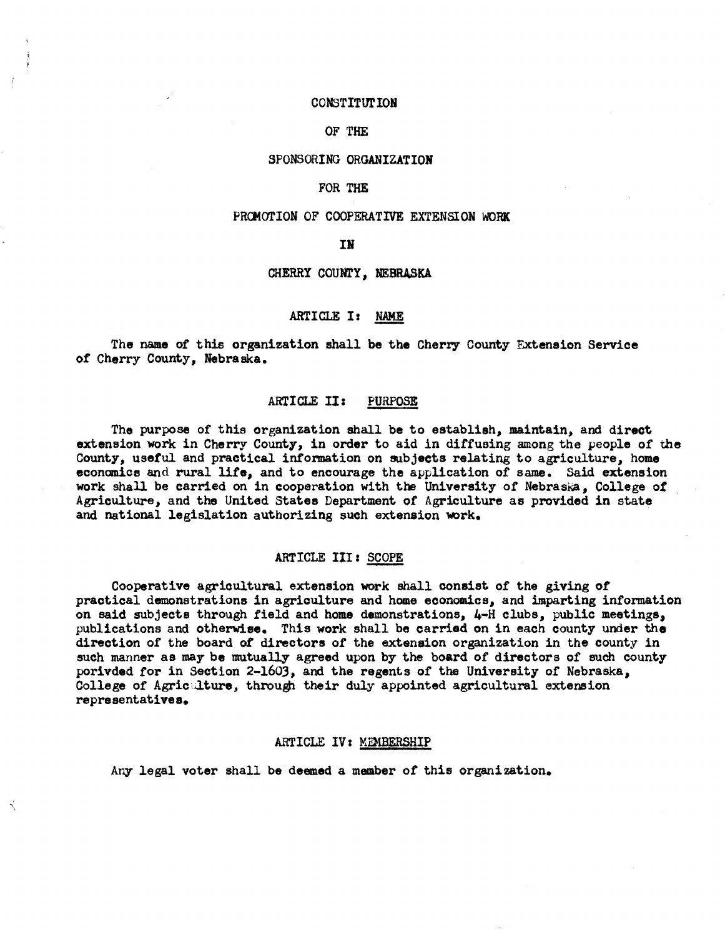#### CONSTITUTION

# OF THE

# SPONSORING ORGANIZATION

#### FOR THE

# PROMOTION OF COOPERATIVE EXTENSION WORK

# IN

#### CHERRY COUNTY, NEBRASKA

# ARTICLE I: NAME

The name of this organization shall be the Cherry County Extension Service of Cherry County, Nebraska.

# ARTICLE II: PURPOSE

The purpose of this organization shall be to establish, maintain, and direct extension work in Cherry County, in order to aid in diffusing among the people of the County, useful and practical information on subjects relating to agriculture, home econanios and rural life, and to encourage the application of same. Said extension work shall be carried on in cooperation with the University of Nebraska, College of Agrioulture, and the United States Department of Agriculture as provided in state and national legislation authorizing such extension work.

#### ARTICLE III: SCOPE

Cooperative agrioultural extension work shall oonsist of the giving of praotioal demonstrations in agriculture and home eoonomios, and imparting information on said subjeots through field and home demonstrations, 4-H olubs, publio meetings, publications and otherwise. This work shall be oarried on in eaoh oounty under the direotion of the board of directors of the extension organization in the oounty in such manner as may be mutually agreed upon by the board of directors of such county porivded for in Section 2-1603, and the regents of the University of Nebraska, College of Agricalture, through their duly appointed agricultural extension representatives.

#### ARTICLE IV: MEMBERSHIP

Any legal voter shall be deemed a member of this organization.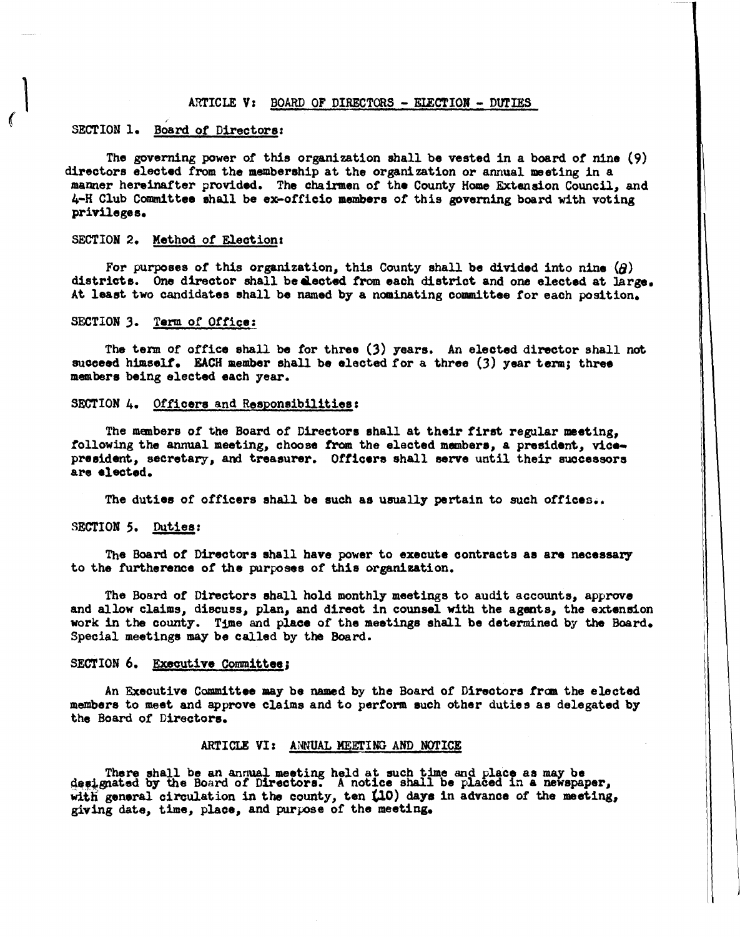#### $ARTICLE$  V: BOARD OF DIRECTORS - ELECTION - DUTIES

# SECTION 1. Board of Directors:

,

The governing power of this organization shall be vested in a board of nine  $(9)$ directors elected from the membership at the organization or annual meeting in a manner hereinafter provided. The chairmen of the County Home Extension Council, and 4-H Club Committee shall be ex-officio members of this governing board with voting privileges.

# SECTION 2. Method of Election:

For purposes of this organization, this County shall be divided into nine  $\langle \partial \rangle$ districts. One director shall be elected from each district and one elected at large. At least two candidates shall be named by a nominating committee for each position.

#### SECTION 3. Term of Office:

The term of office shall be for three (3) years. An elected director shall not succeed himself. EACH member shall be elected for a three  $(3)$  year term; three members being elected each year.

#### SECTION 4. Officers and Responsibilities:

The members of the Board of Directors shall at their first regular meeting, following the annual meeting, choose from the elected members, a president, vicepresident, secretary, and treasurer. Officers shall serve until their successors are elected.

The duties of officers shall be such as usually pertain to such offices..

#### SECTION *S.* Duties:

The Board of Directors shall have power to execute contracts as are necessary to the furtherence of the purposes of this organization.

The Board of Directors shall hold monthly meetings to audit accounts, approve and allow claims, discuss, plan, and direct in counsel with the agents, the extension work in the county. Time and place of the meetings shall be determined by the Board. Special meetings may be called by the Board.

#### SECTION 6. Executive Committee;

An Executive Committee may be named by the Board of Directors from the elected members to meet and approve claims and to perform such other duties as delegated by the Board of Directors.

#### ARTICLE VI: ANNUAL MEErING AND NOTICE

There shall be an annual meeting held at such time and place as may be designated by the Board of Directors. A notice shall be placed in a newspaper, with general circulation in the county, ten (10) days in advance of the meeting, with general circulation in the county, ten  $(10)$  days in advance of the meeting, giving date, time, place, and purpose of the meeting.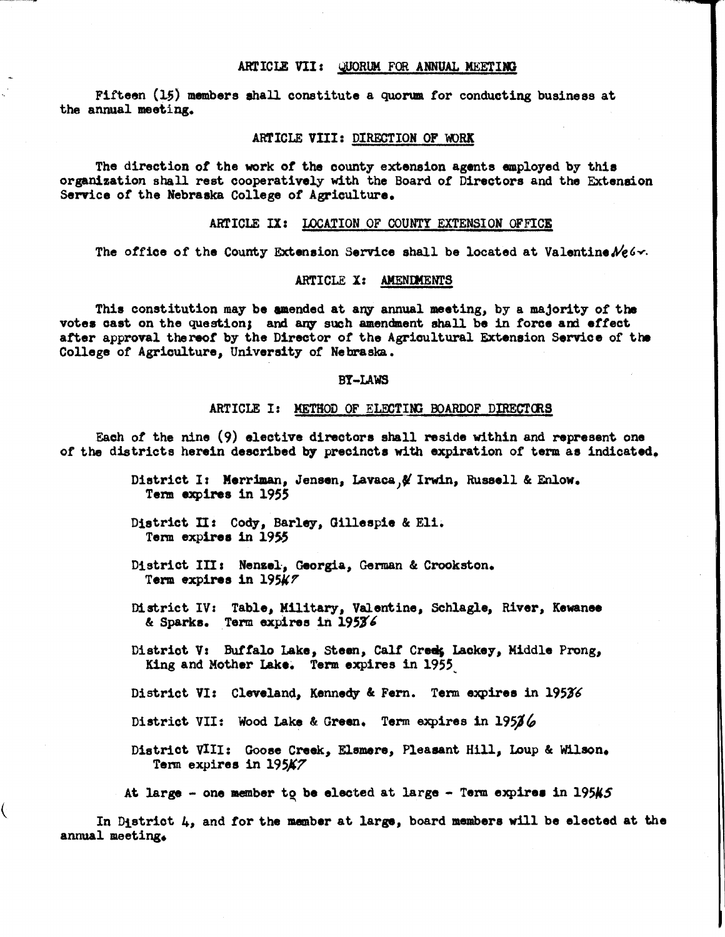#### ARTICLE VII: QUORUM FOR ANNUAL MEETING

Fifteen  $(15)$  members shall constitute a quorum for conducting business at the annual meeting.

#### ARTICLE VIII: DIRECTION OF WORK

The direction *ot* the work *ot* the county extension agents employed by this organization shall rest cooperatively with the Board *ot* Directors and the Extension Service *ot* the Nebraska College *ot* Agriculture.

# ARTICLE IX: LOCATION OF COUNTY EXTENSION OFFICE

The office of the County Extension Service shall be located at Valentine  $N_{\rm c}$ 6.

#### ARTICLE X: AMENDMENTS

This constitution may be amended at any annual meeting, by a majority of the votes cast on the question; and any such amendment shall be in force and effect atter approval thereof by the Director *ot* the Agricultural Extension Service of the College of Agriculture, University *ot* Nebraska.

#### BY-LAWS

#### ARTICLE I: METHOD OF ELECTING BOARDOF DIRECTORS

Each *ot* the nine (9) elective directors shall reside within and represent one *ot* the districts herein described b7 precincts with expiration *ot* term as indicated.

- District I: Merriman, Jensen, Lavaca, & Irwin, Russell & Enlow. Term expires in 1955
- District II: Cody, Barley, Gillespie & Eli. Term expires in 1955

(

- District III: Nenzel, Georgia, German & Crookston. Term expires in 19547
- District IV: Table, MUitary, Valentine, Sehlagle, River, Kewanee & Sparks. Term expires in 19536
- District V: Buffalo Lake, Steen, Calf Creek, Lackey, Middle Prong, King and Mother Lake. Term expires in 1955
- District VI: Cleveland, Kennedy & Fern. Term expires in 19536
- District VII: Wood Lake & Green. Term expires in  $195\%$
- District VIII: Goose Creek, Elsmere, Pleasant Hill, Loup & Wilson. Term expires in 195A7
- At large one member to be elected at large Term expires in 195 $\sharp$ 5

In District 4, and for the member at large, board members will be elected at the annual meeting.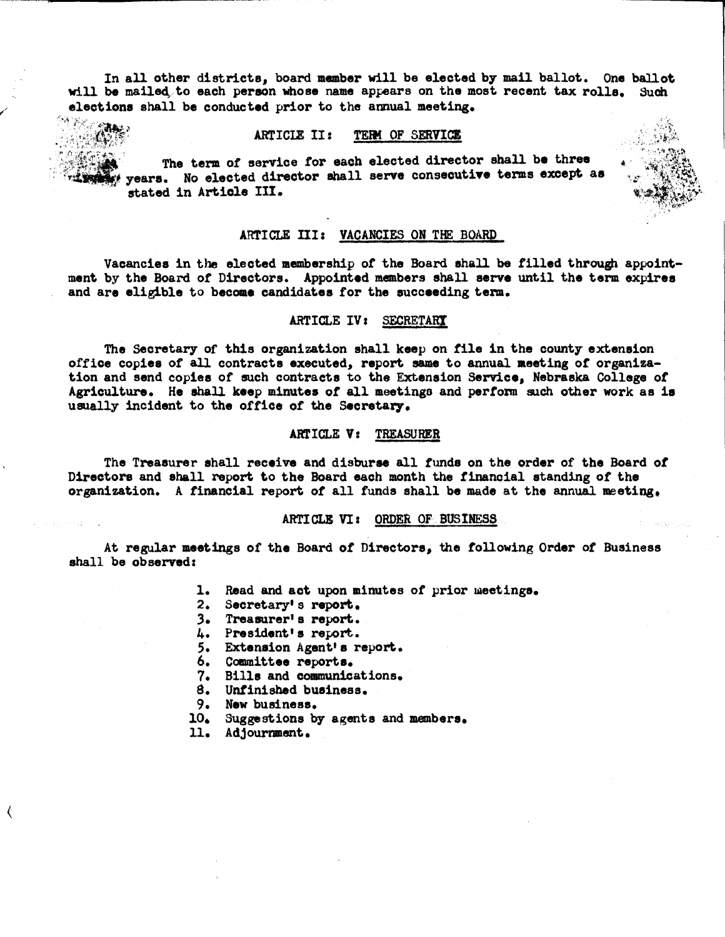In all other districts, board member will be elected by mail ballot. One ballot will be mailed to each person whose name appears on the most recent tax rolls. Such elections shall be conducted prior to the annual meeting.

#### ARTICIE II: TERM OF SERVICE

 $r$  is strictly level .  $\cdot$  : The term of service for each elected director shall be three years. No elected director shall serve consecutive terms except as stated in Article III.

#### ARTICLE III: VACANCIES ON THE BOARD

Vacancies in the elected membership *ot* the Board shall be tilled through appointment by the Board of Directors. Appointed members shall serve until the term expires and are eligible to become candidates for the succeeding term.

# ARTICLE IV: SECRETARY

The Secretary of this organization shall keep on file in the county extension office copies of all contracts executed, report same to annual meeting of organization and send copies of such contracts to the Extenaion Service, Nebraska College of Agriculture. He shall keep minutes of all meetingo and perform such other work as is usually incident to the office of the Secretary.

#### ARTICLE V: TREASURER

The Treasurer shall receive and disburse all funds on the order of the Board of Directors and shall report to the Board each month the financial standing of the organization. A financial report of all funds shall be made at the annual meeting,

#### ARTICLE VI: ORDER OF BUSINESS

At regular meetings of the Board of Directors, the tollowing Order of Business shall be observed:

- 1. Read and act upon minutes of prior meetings.
- 2. Seoretary' s report.
- 3. Treasurer' 8 report.
- 4. President's report ..
- 5. Extension Agent·s report.
- 6. Committee reports.
- 7. Bills and communications.
- S. Unfinished business.
- 9. New business.
- 10, Suggestions by agents and members,
- 11. Adjournment.

 $\left($